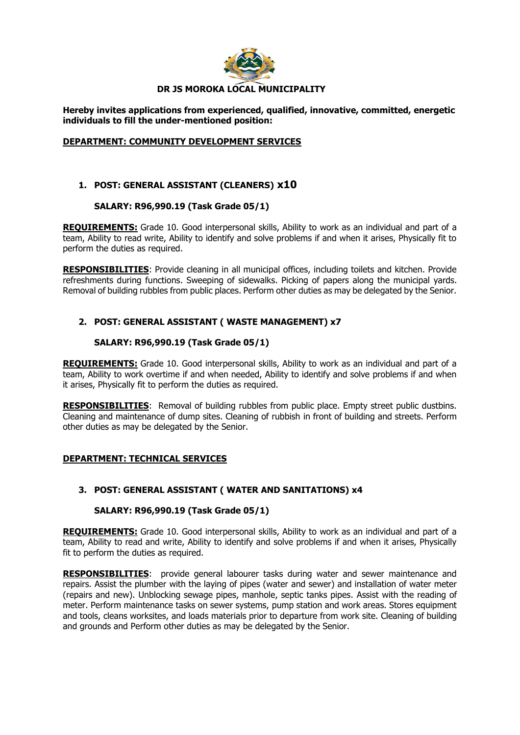

**Hereby invites applications from experienced, qualified, innovative, committed, energetic individuals to fill the under-mentioned position:** 

#### **DEPARTMENT: COMMUNITY DEVELOPMENT SERVICES**

## **1. POST: GENERAL ASSISTANT (CLEANERS) x10**

#### **SALARY: R96,990.19 (Task Grade 05/1)**

**REQUIREMENTS:** Grade 10. Good interpersonal skills, Ability to work as an individual and part of a team, Ability to read write, Ability to identify and solve problems if and when it arises, Physically fit to perform the duties as required.

**RESPONSIBILITIES**: Provide cleaning in all municipal offices, including toilets and kitchen. Provide refreshments during functions. Sweeping of sidewalks. Picking of papers along the municipal yards. Removal of building rubbles from public places. Perform other duties as may be delegated by the Senior.

# **2. POST: GENERAL ASSISTANT ( WASTE MANAGEMENT) x7**

## **SALARY: R96,990.19 (Task Grade 05/1)**

**REQUIREMENTS:** Grade 10. Good interpersonal skills, Ability to work as an individual and part of a team, Ability to work overtime if and when needed, Ability to identify and solve problems if and when it arises, Physically fit to perform the duties as required.

**RESPONSIBILITIES**: Removal of building rubbles from public place. Empty street public dustbins. Cleaning and maintenance of dump sites. Cleaning of rubbish in front of building and streets. Perform other duties as may be delegated by the Senior.

#### **DEPARTMENT: TECHNICAL SERVICES**

## **3. POST: GENERAL ASSISTANT ( WATER AND SANITATIONS) x4**

#### **SALARY: R96,990.19 (Task Grade 05/1)**

**REQUIREMENTS:** Grade 10. Good interpersonal skills, Ability to work as an individual and part of a team, Ability to read and write, Ability to identify and solve problems if and when it arises, Physically fit to perform the duties as required.

**RESPONSIBILITIES**: provide general labourer tasks during water and sewer maintenance and repairs. Assist the plumber with the laying of pipes (water and sewer) and installation of water meter (repairs and new). Unblocking sewage pipes, manhole, septic tanks pipes. Assist with the reading of meter. Perform maintenance tasks on sewer systems, pump station and work areas. Stores equipment and tools, cleans worksites, and loads materials prior to departure from work site. Cleaning of building and grounds and Perform other duties as may be delegated by the Senior.